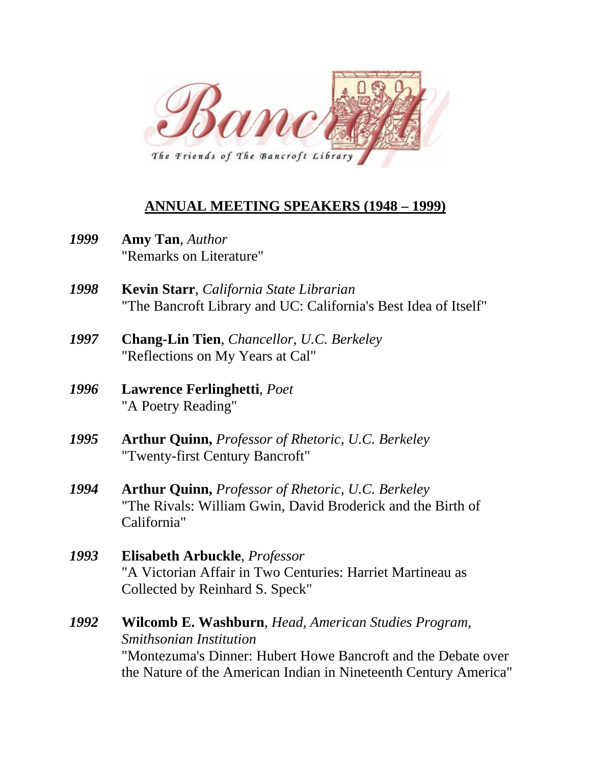

## **ANNUAL MEETING SPEAKERS (1948 – 1999)**

- *1999* **Amy Tan**, *Author*  "Remarks on Literature"
- *1998* **Kevin Starr**, *California State Librarian*  "The Bancroft Library and UC: California's Best Idea of Itself"
- *1997* **Chang-Lin Tien**, *Chancellor, U.C. Berkeley*  "Reflections on My Years at Cal"
- *1996* **Lawrence Ferlinghetti**, *Poet* "A Poetry Reading"
- *1995* **Arthur Quinn,** *Professor of Rhetoric, U.C. Berkeley*  "Twenty-first Century Bancroft"
- *1994* **Arthur Quinn,** *Professor of Rhetoric, U.C. Berkeley* "The Rivals: William Gwin, David Broderick and the Birth of California"
- *1993* **Elisabeth Arbuckle**, *Professor* "A Victorian Affair in Two Centuries: Harriet Martineau as Collected by Reinhard S. Speck"
- *1992* **Wilcomb E. Washburn**, *Head, American Studies Program, Smithsonian Institution*  "Montezuma's Dinner: Hubert Howe Bancroft and the Debate over the Nature of the American Indian in Nineteenth Century America"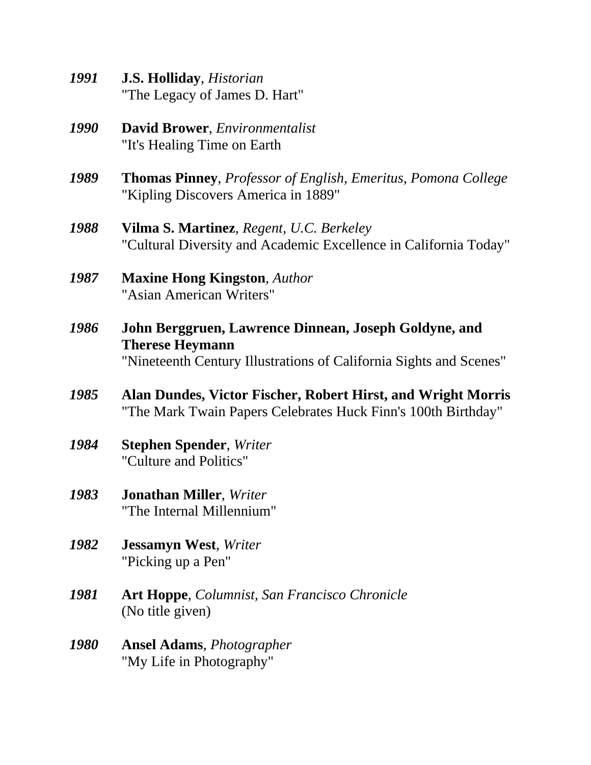- *1991* **J.S. Holliday**, *Historian* "The Legacy of James D. Hart"
- *1990* **David Brower**, *Environmentalist* "It's Healing Time on Earth
- *1989* **Thomas Pinney**, *Professor of English, Emeritus, Pomona College* "Kipling Discovers America in 1889"
- *1988* **Vilma S. Martinez**, *Regent, U.C. Berkeley* "Cultural Diversity and Academic Excellence in California Today"
- *1987* **Maxine Hong Kingston**, *Author* "Asian American Writers"
- *1986* **John Berggruen, Lawrence Dinnean, Joseph Goldyne, and Therese Heymann** "Nineteenth Century Illustrations of California Sights and Scenes"
- *1985* **Alan Dundes, Victor Fischer, Robert Hirst, and Wright Morris**  "The Mark Twain Papers Celebrates Huck Finn's 100th Birthday"
- *1984* **Stephen Spender**, *Writer* "Culture and Politics"
- *1983* **Jonathan Miller**, *Writer*  "The Internal Millennium"
- *1982* **Jessamyn West**, *Writer*  "Picking up a Pen"
- *1981* **Art Hoppe**, *Columnist, San Francisco Chronicle* (No title given)
- *1980* **Ansel Adams**, *Photographer* "My Life in Photography"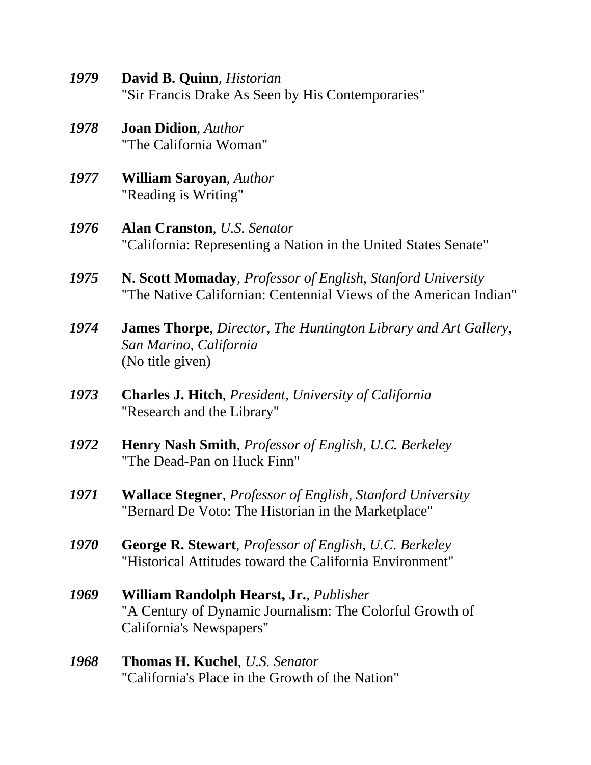- *1979* **David B. Quinn**, *Historian* "Sir Francis Drake As Seen by His Contemporaries"
- *1978* **Joan Didion**, *Author* "The California Woman"
- *1977* **William Saroyan**, *Author* "Reading is Writing"
- *1976* **Alan Cranston**, *U.S. Senator* "California: Representing a Nation in the United States Senate"
- *1975* **N. Scott Momaday**, *Professor of English, Stanford University* "The Native Californian: Centennial Views of the American Indian"
- *1974* **James Thorpe**, *Director, The Huntington Library and Art Gallery, San Marino, California* (No title given)
- *1973* **Charles J. Hitch**, *President, University of California*  "Research and the Library"
- *1972* **Henry Nash Smith**, *Professor of English, U.C. Berkeley* "The Dead-Pan on Huck Finn"
- *1971* **Wallace Stegner**, *Professor of English, Stanford University* "Bernard De Voto: The Historian in the Marketplace"
- *1970* **George R. Stewart**, *Professor of English, U.C. Berkeley* "Historical Attitudes toward the California Environment"
- *1969* **William Randolph Hearst, Jr.**, *Publisher* "A Century of Dynamic Journalism: The Colorful Growth of California's Newspapers"
- *1968* **Thomas H. Kuchel**, *U.S. Senator* "California's Place in the Growth of the Nation"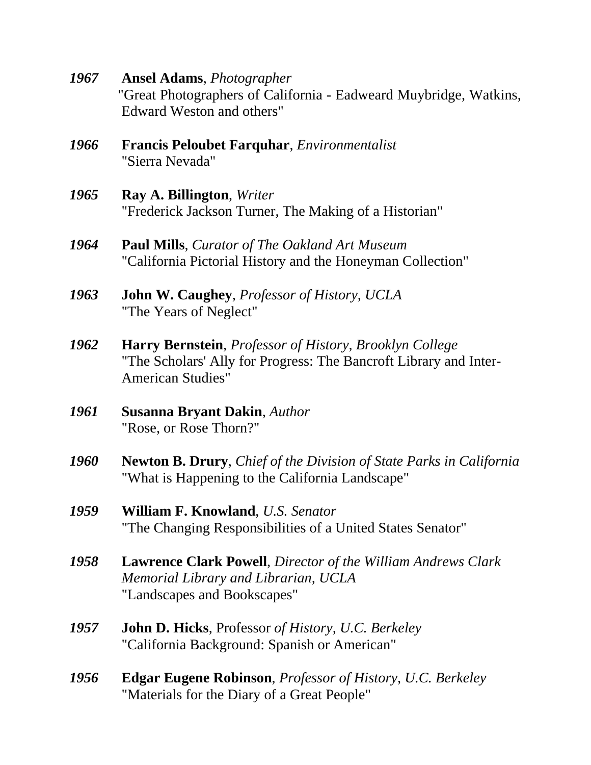*1967* **Ansel Adams**, *Photographer* "Great Photographers of California - Eadweard Muybridge, Watkins, Edward Weston and others"

- *1966* **Francis Peloubet Farquhar**, *Environmentalist*  "Sierra Nevada"
- *1965* **Ray A. Billington**, *Writer* "Frederick Jackson Turner, The Making of a Historian"
- *1964* **Paul Mills**, *Curator of The Oakland Art Museum* "California Pictorial History and the Honeyman Collection"
- *1963* **John W. Caughey**, *Professor of History, UCLA* "The Years of Neglect"
- *1962* **Harry Bernstein**, *Professor of History, Brooklyn College* "The Scholars' Ally for Progress: The Bancroft Library and Inter-American Studies"
- *1961* **Susanna Bryant Dakin**, *Author* "Rose, or Rose Thorn?"
- *1960* **Newton B. Drury**, *Chief of the Division of State Parks in California* "What is Happening to the California Landscape"
- *1959* **William F. Knowland**, *U.S. Senator*  "The Changing Responsibilities of a United States Senator"
- *1958* **Lawrence Clark Powell**, *Director of the William Andrews Clark Memorial Library and Librarian, UCLA* "Landscapes and Bookscapes"
- *1957* **John D. Hicks**, Professor *of History, U.C. Berkeley* "California Background: Spanish or American"
- *1956* **Edgar Eugene Robinson**, *Professor of History, U.C. Berkeley*  "Materials for the Diary of a Great People"